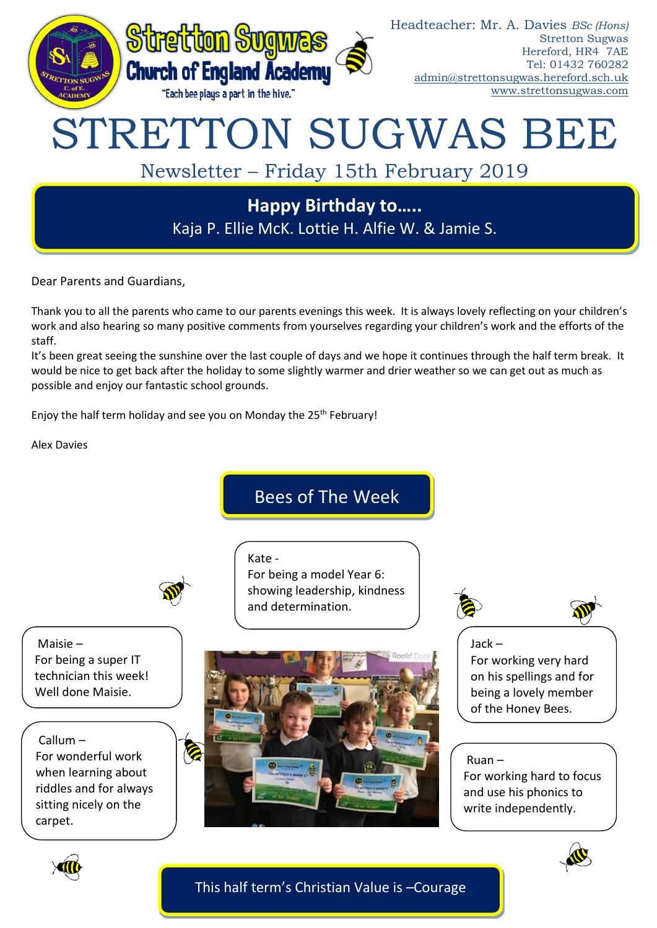

Dear Parents and Guardians,

Thank you to all the parents who came to our parents evenings this week. It is always lovely reflecting on your children's work and also hearing so many positive comments from yourselves regarding your children's work and the efforts of the staff.

It's been great seeing the sunshine over the last couple of days and we hope it continues through the half term break. It would be nice to get back after the holiday to some slightly warmer and drier weather so we can get out as much as possible and enjoy our fantastic school grounds.

Enjoy the half term holiday and see you on Monday the  $25<sup>th</sup>$  February!

Alex Davies

# Bees of The Week



Kate - For being a model Year 6: showing leadership, kindness and determination.

Maisie – For being a super IT technician this week! Well done Maisie.

Callum – For wonderful work when learning about riddles and for always sitting nicely on the carpet.





Jack – For working very hard on his spellings and for being a lovely member of the Honey Bees.

## Ruan –

For working hard to focus and use his phonics to write independently.